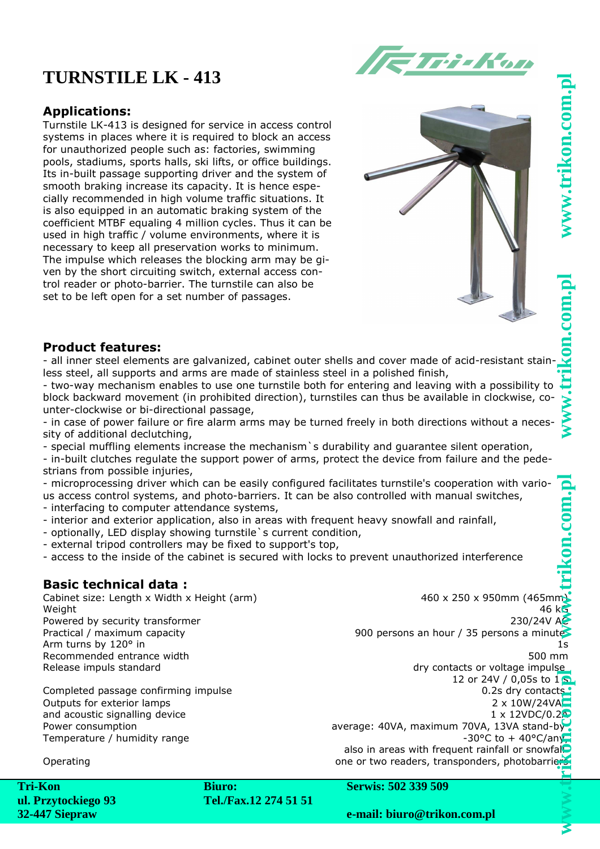# **TURNSTILE LK - 413**



### **Applications:**

Turnstile LK-413 is designed for service in access control systems in places where it is required to block an access for unauthorized people such as: factories, swimming pools, stadiums, sports halls, ski lifts, or office buildings. Its in-built passage supporting driver and the system of smooth braking increase its capacity. It is hence especially recommended in high volume traffic situations. It is also equipped in an automatic braking system of the coefficient MTBF equaling 4 million cycles. Thus it can be used in high traffic / volume environments, where it is necessary to keep all preservation works to minimum. The impulse which releases the blocking arm may be given by the short circuiting switch, external access control reader or photo-barrier. The turnstile can also be set to be left open for a set number of passages.



#### **Product features:**

- all inner steel elements are galvanized, cabinet outer shells and cover made of acid-resistant stainless steel, all supports and arms are made of stainless steel in a polished finish,

- two-way mechanism enables to use one turnstile both for entering and leaving with a possibility to block backward movement (in prohibited direction), turnstiles can thus be available in clockwise, counter-clockwise or bi-directional passage,

- in case of power failure or fire alarm arms may be turned freely in both directions without a necessity of additional declutching,

- special muffling elements increase the mechanism`s durability and guarantee silent operation,

- in-built clutches regulate the support power of arms, protect the device from failure and the pedestrians from possible injuries,

- microprocessing driver which can be easily configured facilitates turnstile's cooperation with various access control systems, and photo-barriers. It can be also controlled with manual switches, - interfacing to computer attendance systems,

- interior and exterior application, also in areas with frequent heavy snowfall and rainfall,
- optionally, LED display showing turnstile`s current condition,
- external tripod controllers may be fixed to support's top,
- access to the inside of the cabinet is secured with locks to prevent unauthorized interference

#### **Basic technical data :**

Cabinet size: Length x Width x Height (arm) 460 x 250 x 950mm (465mm) weight  $46 \text{ kG}$ Powered by security transformer 230/24V AC Practical / maximum capacity **900 persons and hour / 35 persons a minutes** Practical / maximum capacity Arm turns by 120° in 1s Recommended entrance width 500 mm Release impuls standard and the contacts of voltage impulse

Outputs for exterior lamps and acoustic signalling device

12 or 24V / 0,05s to  $1\,$ S Completed passage confirming impulse 0.2s dry contacts 0.2s dry contacts  $2 \times 10W/24VA$ 1 x 12VDC/0.2<sup>0</sup> Power consumption average: 40VA, maximum 70VA, 13VA stand-by Temperature / humidity range  $\sim$  30°C to + 40°C/any,  $\sim$  30°C to + 40°C/any,  $\sim$ also in areas with frequent rainfall or snowfall

Operating **Operating one or two readers, transponders, photobarriers Operating** 

**Tri-Kon ul. Przytockiego 93 32-447 Siepraw**

**Biuro: Tel./Fax.12 274 51 51** **Serwis: 502 339 509**

**e-mail: biuro@trikon.com.pl**